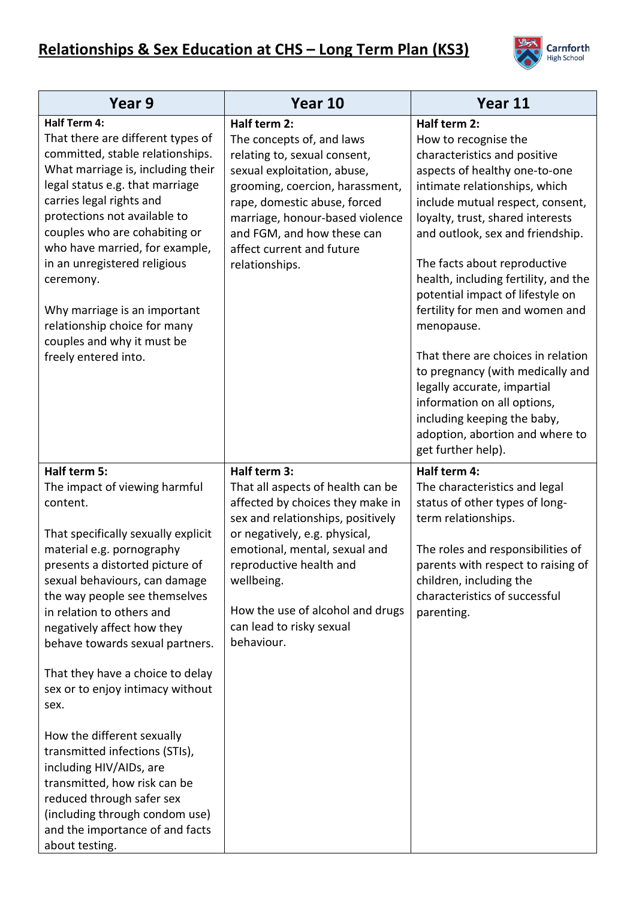

| Year 9                                                                                                                                                                                                                                                                                                                                                                                                                                                                                                                                                                                                                                                          | Year 10                                                                                                                                                                                                                                                                                                             | Year 11                                                                                                                                                                                                                                                                                                                                                                                                                                                                                                                                                                                                                                         |
|-----------------------------------------------------------------------------------------------------------------------------------------------------------------------------------------------------------------------------------------------------------------------------------------------------------------------------------------------------------------------------------------------------------------------------------------------------------------------------------------------------------------------------------------------------------------------------------------------------------------------------------------------------------------|---------------------------------------------------------------------------------------------------------------------------------------------------------------------------------------------------------------------------------------------------------------------------------------------------------------------|-------------------------------------------------------------------------------------------------------------------------------------------------------------------------------------------------------------------------------------------------------------------------------------------------------------------------------------------------------------------------------------------------------------------------------------------------------------------------------------------------------------------------------------------------------------------------------------------------------------------------------------------------|
| <b>Half Term 4:</b><br>That there are different types of<br>committed, stable relationships.<br>What marriage is, including their<br>legal status e.g. that marriage<br>carries legal rights and<br>protections not available to<br>couples who are cohabiting or<br>who have married, for example,<br>in an unregistered religious<br>ceremony.<br>Why marriage is an important<br>relationship choice for many<br>couples and why it must be<br>freely entered into.                                                                                                                                                                                          | Half term 2:<br>The concepts of, and laws<br>relating to, sexual consent,<br>sexual exploitation, abuse,<br>grooming, coercion, harassment,<br>rape, domestic abuse, forced<br>marriage, honour-based violence<br>and FGM, and how these can<br>affect current and future<br>relationships.                         | Half term 2:<br>How to recognise the<br>characteristics and positive<br>aspects of healthy one-to-one<br>intimate relationships, which<br>include mutual respect, consent,<br>loyalty, trust, shared interests<br>and outlook, sex and friendship.<br>The facts about reproductive<br>health, including fertility, and the<br>potential impact of lifestyle on<br>fertility for men and women and<br>menopause.<br>That there are choices in relation<br>to pregnancy (with medically and<br>legally accurate, impartial<br>information on all options,<br>including keeping the baby,<br>adoption, abortion and where to<br>get further help). |
| Half term 5:<br>The impact of viewing harmful<br>content.<br>That specifically sexually explicit<br>material e.g. pornography<br>presents a distorted picture of<br>sexual behaviours, can damage<br>the way people see themselves<br>in relation to others and<br>negatively affect how they<br>behave towards sexual partners.<br>That they have a choice to delay<br>sex or to enjoy intimacy without<br>sex.<br>How the different sexually<br>transmitted infections (STIs),<br>including HIV/AIDs, are<br>transmitted, how risk can be<br>reduced through safer sex<br>(including through condom use)<br>and the importance of and facts<br>about testing. | Half term 3:<br>That all aspects of health can be<br>affected by choices they make in<br>sex and relationships, positively<br>or negatively, e.g. physical,<br>emotional, mental, sexual and<br>reproductive health and<br>wellbeing.<br>How the use of alcohol and drugs<br>can lead to risky sexual<br>behaviour. | Half term 4:<br>The characteristics and legal<br>status of other types of long-<br>term relationships.<br>The roles and responsibilities of<br>parents with respect to raising of<br>children, including the<br>characteristics of successful<br>parenting.                                                                                                                                                                                                                                                                                                                                                                                     |